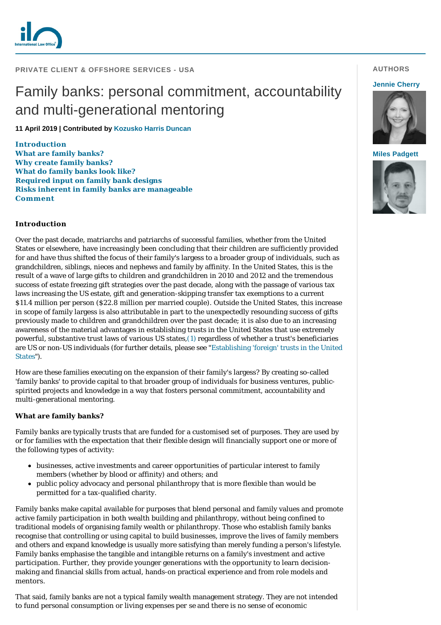

## **PRIVATE CLIENT & OFFSHORE SERVICES - USA**

# Family banks: personal commitment, accountability and multi-generational mentoring

**11 April 2019 | Contributed by [Kozusko Harris Duncan](https://www.internationallawoffice.com/gesr.ashx?l=8C9T6LY)**

**[Introduction](#page-0-0) [What are family banks?](#page-0-1) [Why create family banks?](#page-1-0) [What do family banks look like?](#page-1-1) [Required input on family bank designs](#page-1-2) [Risks inherent in family banks are manageable](#page-2-0) [Comment](#page-2-1)**

# <span id="page-0-0"></span>**Introduction**

Over the past decade, matriarchs and patriarchs of successful families, whether from the United States or elsewhere, have increasingly been concluding that their children are sufficiently provided for and have thus shifted the focus of their family's largess to a broader group of individuals, such as grandchildren, siblings, nieces and nephews and family by affinity. In the United States, this is the result of a wave of large gifts to children and grandchildren in 2010 and 2012 and the tremendous success of estate freezing gift strategies over the past decade, along with the passage of various tax laws increasing the US estate, gift and generation-skipping transfer tax exemptions to a current \$11.4 million per person (\$22.8 million per married couple). Outside the United States, this increase in scope of family largess is also attributable in part to the unexpectedly resounding success of gifts previously made to children and grandchildren over the past decade; it is also due to an increasing awareness of the material advantages in establishing trusts in the United States that use extremely powerful, substantive trust laws of various US states[,\(1\)](#page-2-2) regardless of whether a trust's beneficiaries [are US or non-US individuals \(for further details, please see "Establishing 'foreign' trusts in the United](https://www.internationallawoffice.com/gesr.ashx?l=8C9T6M1) States").

How are these families executing on the expansion of their family's largess? By creating so-called 'family banks' to provide capital to that broader group of individuals for business ventures, publicspirited projects and knowledge in a way that fosters personal commitment, accountability and multi-generational mentoring.

### <span id="page-0-1"></span>**What are family banks?**

Family banks are typically trusts that are funded for a customised set of purposes. They are used by or for families with the expectation that their flexible design will financially support one or more of the following types of activity:

- businesses, active investments and career opportunities of particular interest to family members (whether by blood or affinity) and others; and
- public policy advocacy and personal philanthropy that is more flexible than would be permitted for a tax-qualified charity.

Family banks make capital available for purposes that blend personal and family values and promote active family participation in both wealth building and philanthropy, without being confined to traditional models of organising family wealth or philanthropy. Those who establish family banks recognise that controlling or using capital to build businesses, improve the lives of family members and others and expand knowledge is usually more satisfying than merely funding a person's lifestyle. Family banks emphasise the tangible and intangible returns on a family's investment and active participation. Further, they provide younger generations with the opportunity to learn decisionmaking and financial skills from actual, hands-on practical experience and from role models and mentors.

That said, family banks are not a typical family wealth management strategy. They are not intended to fund personal consumption or living expenses *per se* and there is no sense of economic

# **AUTHORS**

#### **[Jennie Cherry](https://www.internationallawoffice.com/gesr.ashx?l=8C9T6N3)**



#### **[Miles Padgett](https://www.internationallawoffice.com/gesr.ashx?l=8C9T6N6)**

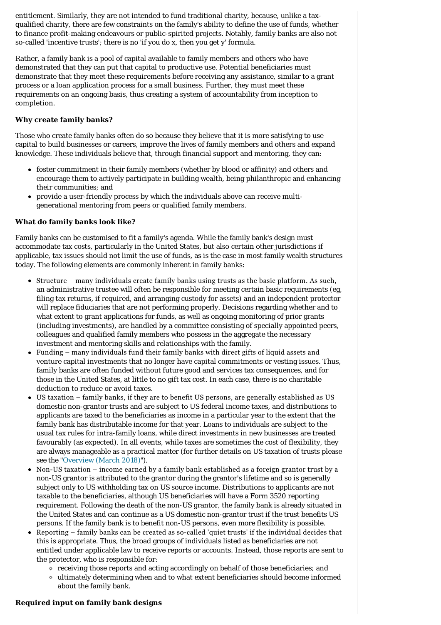entitlement. Similarly, they are not intended to fund traditional charity, because, unlike a taxqualified charity, there are few constraints on the family's ability to define the use of funds, whether to finance profit-making endeavours or public-spirited projects. Notably, family banks are also not so-called 'incentive trusts'; there is no 'if you do x, then you get y' formula.

Rather, a family bank is a pool of capital available to family members and others who have demonstrated that they can put that capital to productive use. Potential beneficiaries must demonstrate that they meet these requirements before receiving any assistance, similar to a grant process or a loan application process for a small business. Further, they must meet these requirements on an ongoing basis, thus creating a system of accountability from inception to completion.

# <span id="page-1-0"></span>**Why create family banks?**

Those who create family banks often do so because they believe that it is more satisfying to use capital to build businesses or careers, improve the lives of family members and others and expand knowledge. These individuals believe that, through financial support and mentoring, they can:

- foster commitment in their family members (whether by blood or affinity) and others and encourage them to actively participate in building wealth, being philanthropic and enhancing their communities; and
- provide a user-friendly process by which the individuals above can receive multigenerational mentoring from peers or qualified family members.

### <span id="page-1-1"></span>**What do family banks look like?**

Family banks can be customised to fit a family's agenda. While the family bank's design must accommodate tax costs, particularly in the United States, but also certain other jurisdictions if applicable, tax issues should not limit the use of funds, as is the case in most family wealth structures today. The following elements are commonly inherent in family banks:

- Structure many individuals create family banks using trusts as the basic platform. As such, an administrative trustee will often be responsible for meeting certain basic requirements (eg, filing tax returns, if required, and arranging custody for assets) and an independent protector will replace fiduciaries that are not performing properly. Decisions regarding whether and to what extent to grant applications for funds, as well as ongoing monitoring of prior grants (including investments), are handled by a committee consisting of specially appointed peers, colleagues and qualified family members who possess in the aggregate the necessary investment and mentoring skills and relationships with the family.
- Funding many individuals fund their family banks with direct gifts of liquid assets and venture capital investments that no longer have capital commitments or vesting issues. Thus, family banks are often funded without future good and services tax consequences, and for those in the United States, at little to no gift tax cost. In each case, there is no charitable deduction to reduce or avoid taxes.
- US taxation family banks, if they are to benefit US persons, are generally established as US domestic non-grantor trusts and are subject to US federal income taxes, and distributions to applicants are taxed to the beneficiaries as income in a particular year to the extent that the family bank has distributable income for that year. Loans to individuals are subject to the usual tax rules for intra-family loans, while direct investments in new businesses are treated favourably (as expected). In all events, while taxes are sometimes the cost of flexibility, they are always manageable as a practical matter (for further details on US taxation of trusts please see the "[Overview \(March 2018\)"](https://www.internationallawoffice.com/gesr.ashx?l=8C9T6M4)).
- Non-US taxation income earned by a family bank established as a foreign grantor trust by a non-US grantor is attributed to the grantor during the grantor's lifetime and so is generally subject only to US withholding tax on US source income. Distributions to applicants are not taxable to the beneficiaries, although US beneficiaries will have a Form 3520 reporting requirement. Following the death of the non-US grantor, the family bank is already situated in the United States and can continue as a US domestic non-grantor trust if the trust benefits US persons. If the family bank is to benefit non-US persons, even more flexibility is possible.
- Reporting family banks can be created as so-called 'quiet trusts' if the individual decides that this is appropriate. Thus, the broad groups of individuals listed as beneficiaries are not entitled under applicable law to receive reports or accounts. Instead, those reports are sent to the protector, who is responsible for:
	- receiving those reports and acting accordingly on behalf of those beneficiaries; and
	- ultimately determining when and to what extent beneficiaries should become informed about the family bank.

### <span id="page-1-2"></span>**Required input on family bank designs**